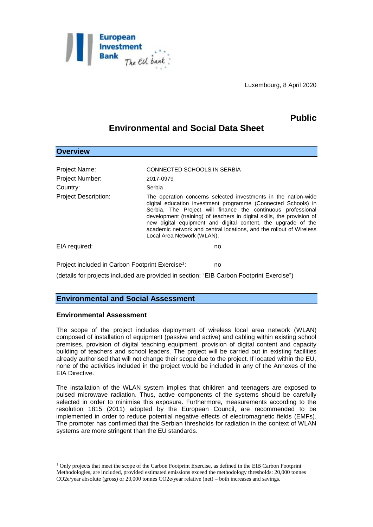

Luxembourg, 8 April 2020

# **Public**

## **Environmental and Social Data Sheet**

| <b>Overview</b>                                                    |                                                                                                                                                                                                                                                                                                                                                                                                                                                 |
|--------------------------------------------------------------------|-------------------------------------------------------------------------------------------------------------------------------------------------------------------------------------------------------------------------------------------------------------------------------------------------------------------------------------------------------------------------------------------------------------------------------------------------|
| Project Name:<br><b>Project Number:</b><br>Country:                | CONNECTED SCHOOLS IN SERBIA<br>2017-0979<br>Serbia                                                                                                                                                                                                                                                                                                                                                                                              |
| <b>Project Description:</b>                                        | The operation concerns selected investments in the nation-wide<br>digital education investment programme (Connected Schools) in<br>Serbia. The Project will finance the continuous professional<br>development (training) of teachers in digital skills, the provision of<br>new digital equipment and digital content, the upgrade of the<br>academic network and central locations, and the rollout of Wireless<br>Local Area Network (WLAN). |
| EIA required:                                                      | no                                                                                                                                                                                                                                                                                                                                                                                                                                              |
| Project included in Carbon Footprint Exercise <sup>1</sup> :<br>no |                                                                                                                                                                                                                                                                                                                                                                                                                                                 |

(details for projects included are provided in section: "EIB Carbon Footprint Exercise")

### **Environmental and Social Assessment**

#### **Environmental Assessment**

1

The scope of the project includes deployment of wireless local area network (WLAN) composed of installation of equipment (passive and active) and cabling within existing school premises, provision of digital teaching equipment, provision of digital content and capacity building of teachers and school leaders. The project will be carried out in existing facilities already authorised that will not change their scope due to the project. If located within the EU, none of the activities included in the project would be included in any of the Annexes of the EIA Directive.

The installation of the WLAN system implies that children and teenagers are exposed to pulsed microwave radiation. Thus, active components of the systems should be carefully selected in order to minimise this exposure. Furthermore, measurements according to the resolution 1815 (2011) adopted by the European Council, are recommended to be implemented in order to reduce potential negative effects of electromagnetic fields (EMFs). The promoter has confirmed that the Serbian thresholds for radiation in the context of WLAN systems are more stringent than the EU standards.

<sup>1</sup> Only projects that meet the scope of the Carbon Footprint Exercise, as defined in the EIB Carbon Footprint Methodologies, are included, provided estimated emissions exceed the methodology thresholds: 20,000 tonnes CO2e/year absolute (gross) or 20,000 tonnes CO2e/year relative (net) – both increases and savings.